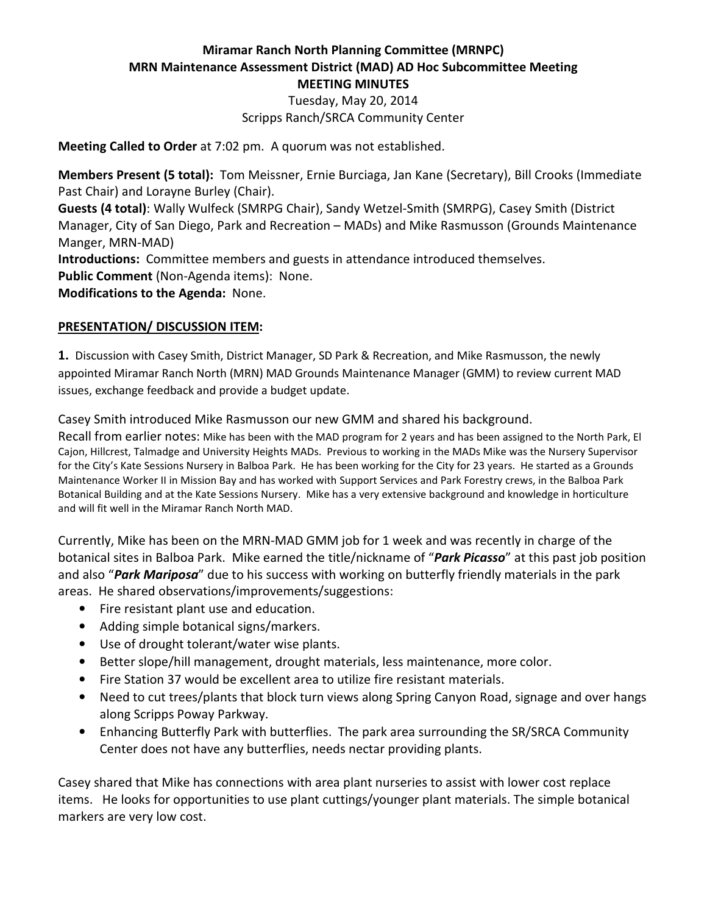#### Miramar Ranch North Planning Committee (MRNPC) MRN Maintenance Assessment District (MAD) AD Hoc Subcommittee Meeting MEETING MINUTES

Tuesday, May 20, 2014 Scripps Ranch/SRCA Community Center

Meeting Called to Order at 7:02 pm. A quorum was not established.

Members Present (5 total): Tom Meissner, Ernie Burciaga, Jan Kane (Secretary), Bill Crooks (Immediate Past Chair) and Lorayne Burley (Chair).

Guests (4 total): Wally Wulfeck (SMRPG Chair), Sandy Wetzel-Smith (SMRPG), Casey Smith (District Manager, City of San Diego, Park and Recreation – MADs) and Mike Rasmusson (Grounds Maintenance Manger, MRN-MAD)

Introductions: Committee members and guests in attendance introduced themselves. Public Comment (Non-Agenda items): None.

Modifications to the Agenda: None.

#### PRESENTATION/ DISCUSSION ITEM:

1. Discussion with Casey Smith, District Manager, SD Park & Recreation, and Mike Rasmusson, the newly appointed Miramar Ranch North (MRN) MAD Grounds Maintenance Manager (GMM) to review current MAD issues, exchange feedback and provide a budget update.

Casey Smith introduced Mike Rasmusson our new GMM and shared his background.

Recall from earlier notes: Mike has been with the MAD program for 2 years and has been assigned to the North Park, El Cajon, Hillcrest, Talmadge and University Heights MADs. Previous to working in the MADs Mike was the Nursery Supervisor for the City's Kate Sessions Nursery in Balboa Park. He has been working for the City for 23 years. He started as a Grounds Maintenance Worker II in Mission Bay and has worked with Support Services and Park Forestry crews, in the Balboa Park Botanical Building and at the Kate Sessions Nursery. Mike has a very extensive background and knowledge in horticulture and will fit well in the Miramar Ranch North MAD.

Currently, Mike has been on the MRN-MAD GMM job for 1 week and was recently in charge of the botanical sites in Balboa Park. Mike earned the title/nickname of "Park Picasso" at this past job position and also "Park Mariposa" due to his success with working on butterfly friendly materials in the park areas. He shared observations/improvements/suggestions:

- Fire resistant plant use and education.
- Adding simple botanical signs/markers.
- Use of drought tolerant/water wise plants.
- Better slope/hill management, drought materials, less maintenance, more color.
- Fire Station 37 would be excellent area to utilize fire resistant materials.
- Need to cut trees/plants that block turn views along Spring Canyon Road, signage and over hangs along Scripps Poway Parkway.
- Enhancing Butterfly Park with butterflies. The park area surrounding the SR/SRCA Community Center does not have any butterflies, needs nectar providing plants.

Casey shared that Mike has connections with area plant nurseries to assist with lower cost replace items. He looks for opportunities to use plant cuttings/younger plant materials. The simple botanical markers are very low cost.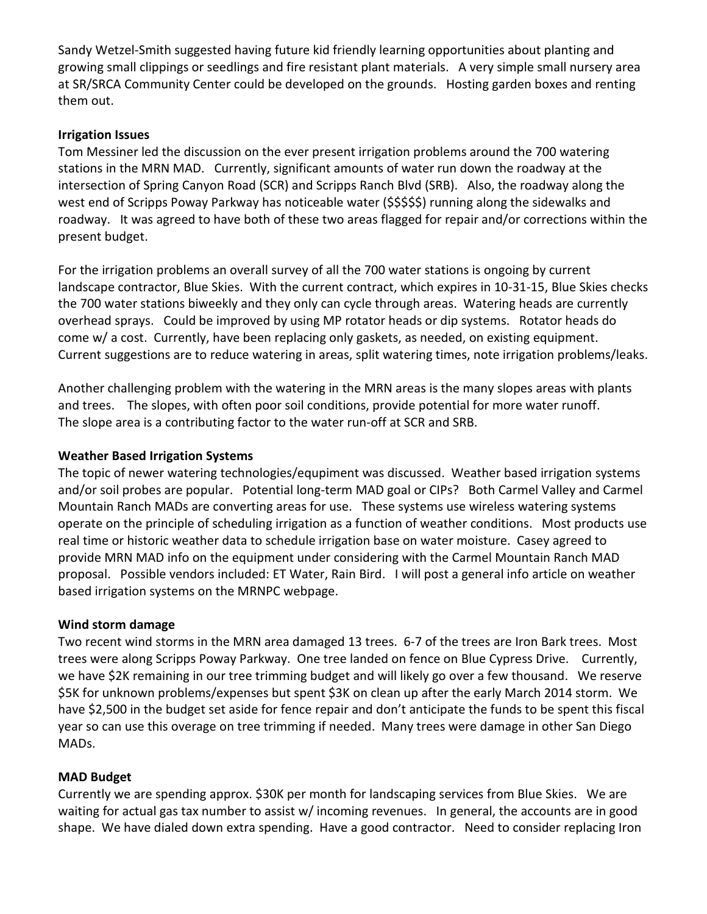Sandy Wetzel-Smith suggested having future kid friendly learning opportunities about planting and growing small clippings or seedlings and fire resistant plant materials. A very simple small nursery area at SR/SRCA Community Center could be developed on the grounds. Hosting garden boxes and renting them out.

#### Irrigation Issues

Tom Messiner led the discussion on the ever present irrigation problems around the 700 watering stations in the MRN MAD. Currently, significant amounts of water run down the roadway at the intersection of Spring Canyon Road (SCR) and Scripps Ranch Blvd (SRB). Also, the roadway along the west end of Scripps Poway Parkway has noticeable water (\$\$\$\$\$) running along the sidewalks and roadway. It was agreed to have both of these two areas flagged for repair and/or corrections within the present budget.

For the irrigation problems an overall survey of all the 700 water stations is ongoing by current landscape contractor, Blue Skies. With the current contract, which expires in 10-31-15, Blue Skies checks the 700 water stations biweekly and they only can cycle through areas. Watering heads are currently overhead sprays. Could be improved by using MP rotator heads or dip systems. Rotator heads do come w/ a cost. Currently, have been replacing only gaskets, as needed, on existing equipment. Current suggestions are to reduce watering in areas, split watering times, note irrigation problems/leaks.

Another challenging problem with the watering in the MRN areas is the many slopes areas with plants and trees. The slopes, with often poor soil conditions, provide potential for more water runoff. The slope area is a contributing factor to the water run-off at SCR and SRB.

#### Weather Based Irrigation Systems

The topic of newer watering technologies/equpiment was discussed. Weather based irrigation systems and/or soil probes are popular. Potential long-term MAD goal or CIPs? Both Carmel Valley and Carmel Mountain Ranch MADs are converting areas for use. These systems use wireless watering systems operate on the principle of scheduling irrigation as a function of weather conditions. Most products use real time or historic weather data to schedule irrigation base on water moisture. Casey agreed to provide MRN MAD info on the equipment under considering with the Carmel Mountain Ranch MAD proposal. Possible vendors included: ET Water, Rain Bird. I will post a general info article on weather based irrigation systems on the MRNPC webpage.

# Wind storm damage

Two recent wind storms in the MRN area damaged 13 trees. 6-7 of the trees are Iron Bark trees. Most trees were along Scripps Poway Parkway. One tree landed on fence on Blue Cypress Drive. Currently, we have \$2K remaining in our tree trimming budget and will likely go over a few thousand. We reserve \$5K for unknown problems/expenses but spent \$3K on clean up after the early March 2014 storm. We have \$2,500 in the budget set aside for fence repair and don't anticipate the funds to be spent this fiscal year so can use this overage on tree trimming if needed. Many trees were damage in other San Diego MADs.

# MAD Budget

Currently we are spending approx. \$30K per month for landscaping services from Blue Skies. We are waiting for actual gas tax number to assist w/ incoming revenues. In general, the accounts are in good shape. We have dialed down extra spending. Have a good contractor. Need to consider replacing Iron